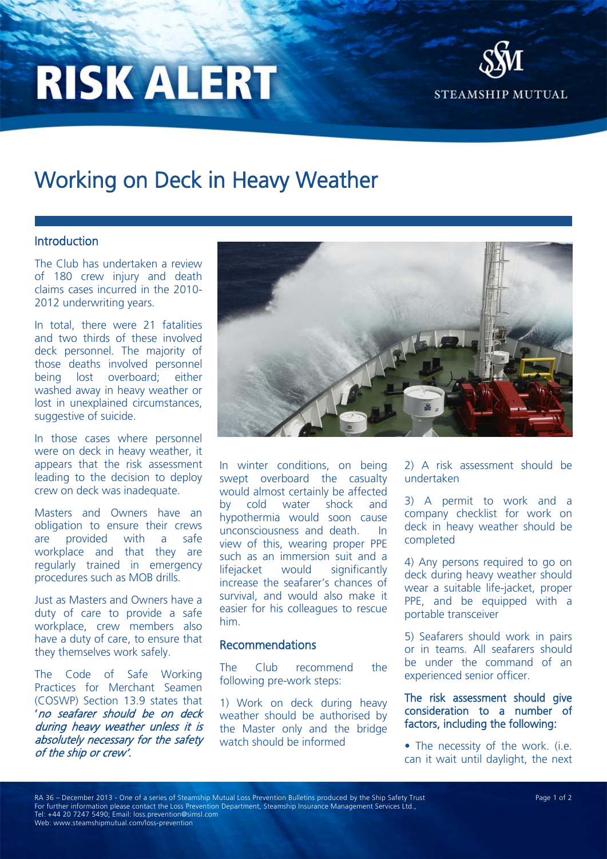# **RISK ALERT**



# Working on Deck in Heavy Weather

## Introduction

The Club has undertaken a review of 180 crew injury and death claims cases incurred in the 2010- 2012 underwriting years.

In total, there were 21 fatalities and two thirds of these involved deck personnel. The majority of those deaths involved personnel being lost overboard; either washed away in heavy weather or lost in unexplained circumstances, suggestive of suicide.

In those cases where personnel were on deck in heavy weather, it appears that the risk assessment leading to the decision to deploy crew on deck was inadequate.

Masters and Owners have an obligation to ensure their crews are provided with a safe workplace and that they are regularly trained in emergency procedures such as MOB drills.

Just as Masters and Owners have a duty of care to provide a safe workplace, crew members also have a duty of care, to ensure that they themselves work safely.

The Code of Safe Working Practices for Merchant Seamen (COSWP) Section 13.9 states that 'no seafarer should be on deck during heavy weather unless it is absolutely necessary for the safety of the ship or crew'.



In winter conditions, on being swept overboard the casualty would almost certainly be affected by cold water shock and hypothermia would soon cause unconsciousness and death. In view of this, wearing proper PPE such as an immersion suit and a lifejacket would significantly increase the seafarer's chances of survival, and would also make it easier for his colleagues to rescue him.

## Recommendations

The Club recommend the following pre-work steps:

1) Work on deck during heavy weather should be authorised by the Master only and the bridge watch should be informed

2) A risk assessment should be undertaken

3) A permit to work and a company checklist for work on deck in heavy weather should be completed

4) Any persons required to go on deck during heavy weather should wear a suitable life-jacket, proper PPE, and be equipped with a portable transceiver

5) Seafarers should work in pairs or in teams. All seafarers should be under the command of an experienced senior officer.

The risk assessment should give consideration to a number of factors, including the following:

• The necessity of the work. (i.e. can it wait until daylight, the next